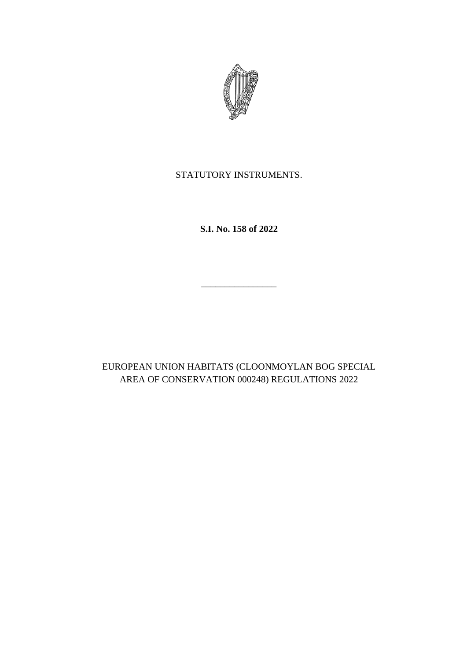

STATUTORY INSTRUMENTS.

**S.I. No. 158 of 2022**

\_\_\_\_\_\_\_\_\_\_\_\_\_\_\_\_

EUROPEAN UNION HABITATS (CLOONMOYLAN BOG SPECIAL AREA OF CONSERVATION 000248) REGULATIONS 2022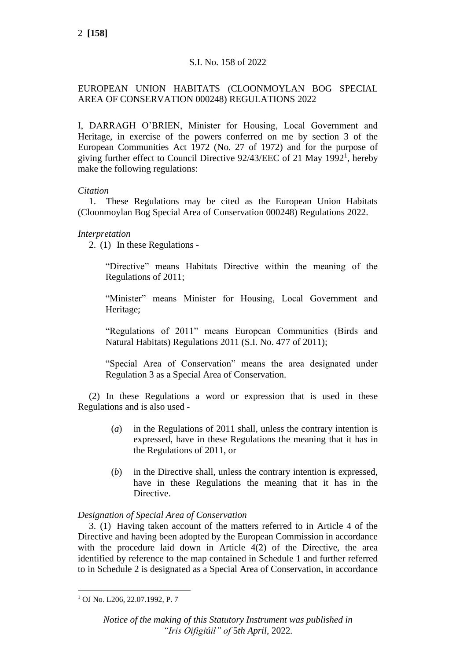# S.I. No. 158 of 2022

# EUROPEAN UNION HABITATS (CLOONMOYLAN BOG SPECIAL AREA OF CONSERVATION 000248) REGULATIONS 2022

I, DARRAGH O'BRIEN, Minister for Housing, Local Government and Heritage, in exercise of the powers conferred on me by section 3 of the European Communities Act 1972 (No. 27 of 1972) and for the purpose of giving further effect to Council Directive 92/43/EEC of 21 May 1992<sup>1</sup>, hereby make the following regulations:

## *Citation*

1. These Regulations may be cited as the European Union Habitats (Cloonmoylan Bog Special Area of Conservation 000248) Regulations 2022.

# *Interpretation*

2. (1) In these Regulations -

"Directive" means Habitats Directive within the meaning of the Regulations of 2011;

"Minister" means Minister for Housing, Local Government and Heritage;

"Regulations of 2011" means European Communities (Birds and Natural Habitats) Regulations 2011 (S.I. No. 477 of 2011);

"Special Area of Conservation" means the area designated under Regulation 3 as a Special Area of Conservation.

(2) In these Regulations a word or expression that is used in these Regulations and is also used -

- (*a*) in the Regulations of 2011 shall, unless the contrary intention is expressed, have in these Regulations the meaning that it has in the Regulations of 2011, or
- (*b*) in the Directive shall, unless the contrary intention is expressed, have in these Regulations the meaning that it has in the Directive.

## *Designation of Special Area of Conservation*

3. (1) Having taken account of the matters referred to in Article 4 of the Directive and having been adopted by the European Commission in accordance with the procedure laid down in Article 4(2) of the Directive, the area identified by reference to the map contained in Schedule 1 and further referred to in Schedule 2 is designated as a Special Area of Conservation, in accordance

<sup>1</sup> OJ No. L206, 22.07.1992, P. 7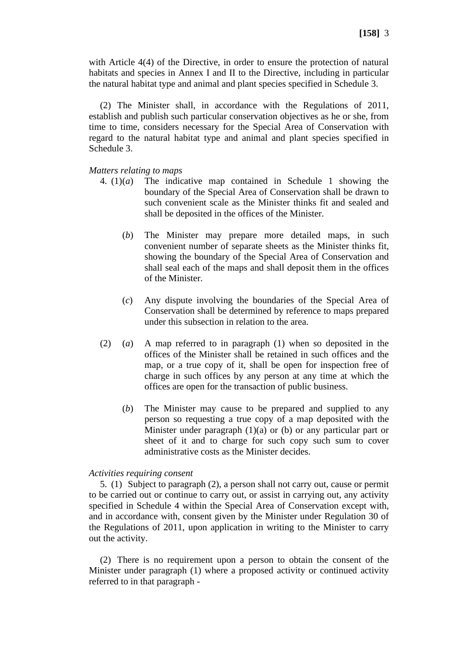with Article 4(4) of the Directive, in order to ensure the protection of natural habitats and species in Annex I and II to the Directive, including in particular the natural habitat type and animal and plant species specified in Schedule 3.

(2) The Minister shall, in accordance with the Regulations of 2011, establish and publish such particular conservation objectives as he or she, from time to time, considers necessary for the Special Area of Conservation with regard to the natural habitat type and animal and plant species specified in Schedule 3.

### *Matters relating to maps*

- 4. (1)(*a*) The indicative map contained in Schedule 1 showing the boundary of the Special Area of Conservation shall be drawn to such convenient scale as the Minister thinks fit and sealed and shall be deposited in the offices of the Minister.
	- (*b*) The Minister may prepare more detailed maps, in such convenient number of separate sheets as the Minister thinks fit, showing the boundary of the Special Area of Conservation and shall seal each of the maps and shall deposit them in the offices of the Minister.
	- (*c*) Any dispute involving the boundaries of the Special Area of Conservation shall be determined by reference to maps prepared under this subsection in relation to the area.
- (2) (*a*) A map referred to in paragraph (1) when so deposited in the offices of the Minister shall be retained in such offices and the map, or a true copy of it, shall be open for inspection free of charge in such offices by any person at any time at which the offices are open for the transaction of public business.
	- (*b*) The Minister may cause to be prepared and supplied to any person so requesting a true copy of a map deposited with the Minister under paragraph (1)(a) or (b) or any particular part or sheet of it and to charge for such copy such sum to cover administrative costs as the Minister decides.

#### *Activities requiring consent*

5. (1) Subject to paragraph (2), a person shall not carry out, cause or permit to be carried out or continue to carry out, or assist in carrying out, any activity specified in Schedule 4 within the Special Area of Conservation except with, and in accordance with, consent given by the Minister under Regulation 30 of the Regulations of 2011, upon application in writing to the Minister to carry out the activity.

(2) There is no requirement upon a person to obtain the consent of the Minister under paragraph (1) where a proposed activity or continued activity referred to in that paragraph -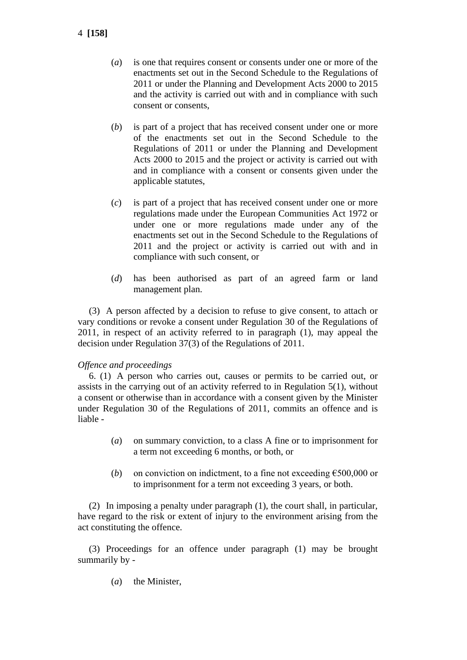- 4 **[158]**
- (*a*) is one that requires consent or consents under one or more of the enactments set out in the Second Schedule to the Regulations of 2011 or under the Planning and Development Acts 2000 to 2015 and the activity is carried out with and in compliance with such consent or consents,
- (*b*) is part of a project that has received consent under one or more of the enactments set out in the Second Schedule to the Regulations of 2011 or under the Planning and Development Acts 2000 to 2015 and the project or activity is carried out with and in compliance with a consent or consents given under the applicable statutes,
- (*c*) is part of a project that has received consent under one or more regulations made under the European Communities Act 1972 or under one or more regulations made under any of the enactments set out in the Second Schedule to the Regulations of 2011 and the project or activity is carried out with and in compliance with such consent, or
- (*d*) has been authorised as part of an agreed farm or land management plan.

(3) A person affected by a decision to refuse to give consent, to attach or vary conditions or revoke a consent under Regulation 30 of the Regulations of 2011, in respect of an activity referred to in paragraph (1), may appeal the decision under Regulation 37(3) of the Regulations of 2011.

### *Offence and proceedings*

6. (1) A person who carries out, causes or permits to be carried out, or assists in the carrying out of an activity referred to in Regulation 5(1), without a consent or otherwise than in accordance with a consent given by the Minister under Regulation 30 of the Regulations of 2011, commits an offence and is liable -

- (*a*) on summary conviction, to a class A fine or to imprisonment for a term not exceeding 6 months, or both, or
- (*b*) on conviction on indictment, to a fine not exceeding  $\epsilon$ 500,000 or to imprisonment for a term not exceeding 3 years, or both.

(2) In imposing a penalty under paragraph (1), the court shall, in particular, have regard to the risk or extent of injury to the environment arising from the act constituting the offence.

(3) Proceedings for an offence under paragraph (1) may be brought summarily by -

(*a*) the Minister,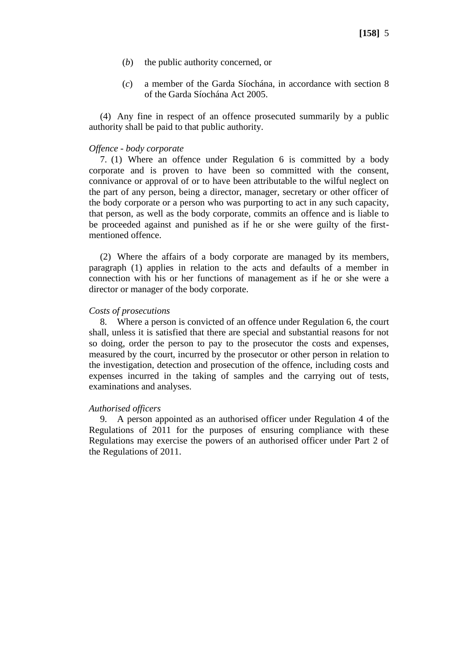- (*b*) the public authority concerned, or
- (*c*) a member of the Garda Síochána, in accordance with section 8 of the Garda Síochána Act 2005.

(4) Any fine in respect of an offence prosecuted summarily by a public authority shall be paid to that public authority.

#### *Offence - body corporate*

7. (1) Where an offence under Regulation 6 is committed by a body corporate and is proven to have been so committed with the consent, connivance or approval of or to have been attributable to the wilful neglect on the part of any person, being a director, manager, secretary or other officer of the body corporate or a person who was purporting to act in any such capacity, that person, as well as the body corporate, commits an offence and is liable to be proceeded against and punished as if he or she were guilty of the firstmentioned offence.

(2) Where the affairs of a body corporate are managed by its members, paragraph (1) applies in relation to the acts and defaults of a member in connection with his or her functions of management as if he or she were a director or manager of the body corporate.

#### *Costs of prosecutions*

8. Where a person is convicted of an offence under Regulation 6, the court shall, unless it is satisfied that there are special and substantial reasons for not so doing, order the person to pay to the prosecutor the costs and expenses, measured by the court, incurred by the prosecutor or other person in relation to the investigation, detection and prosecution of the offence, including costs and expenses incurred in the taking of samples and the carrying out of tests, examinations and analyses.

#### *Authorised officers*

9. A person appointed as an authorised officer under Regulation 4 of the Regulations of 2011 for the purposes of ensuring compliance with these Regulations may exercise the powers of an authorised officer under Part 2 of the Regulations of 2011.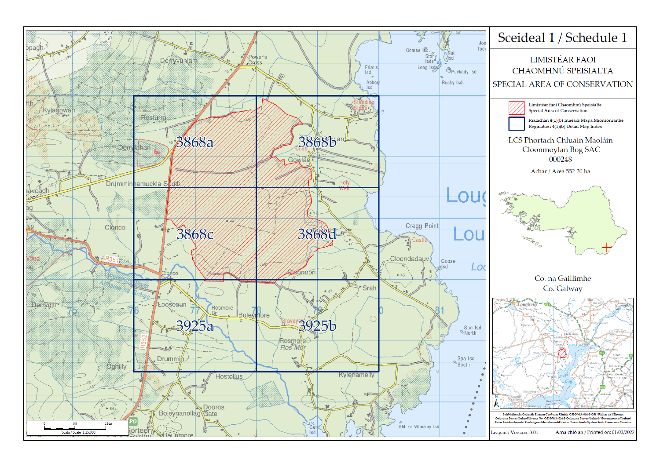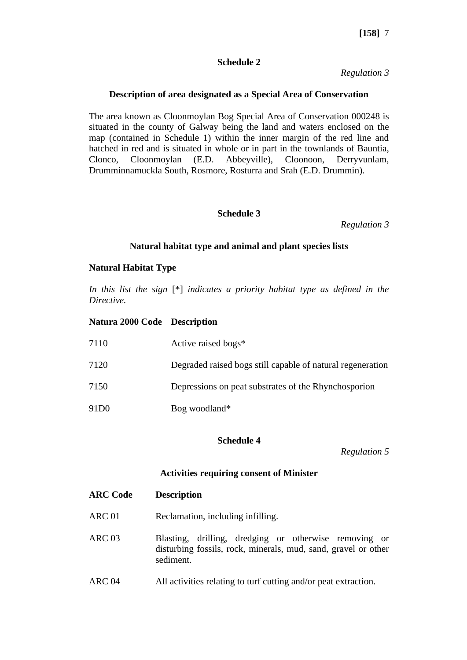## **Schedule 2**

*Regulation 3*

## **Description of area designated as a Special Area of Conservation**

The area known as Cloonmoylan Bog Special Area of Conservation 000248 is situated in the county of Galway being the land and waters enclosed on the map (contained in Schedule 1) within the inner margin of the red line and hatched in red and is situated in whole or in part in the townlands of Bauntia, Clonco, Cloonmoylan (E.D. Abbeyville), Cloonoon, Derryvunlam, Drumminnamuckla South, Rosmore, Rosturra and Srah (E.D. Drummin).

## **Schedule 3**

*Regulation 3*

### **Natural habitat type and animal and plant species lists**

### **Natural Habitat Type**

*In this list the sign* [\*] *indicates a priority habitat type as defined in the Directive.*

### **Natura 2000 Code Description**

| 7110              | Active raised bogs*                                        |
|-------------------|------------------------------------------------------------|
| 7120              | Degraded raised bogs still capable of natural regeneration |
| 7150              | Depressions on peat substrates of the Rhynchosporion       |
| 91 <sub>D</sub> 0 | Bog woodland*                                              |

### **Schedule 4**

*Regulation 5*

### **Activities requiring consent of Minister**

| <b>ARC Code</b>   | <b>Description</b>                                                                                                                   |
|-------------------|--------------------------------------------------------------------------------------------------------------------------------------|
| <b>ARC 01</b>     | Reclamation, including infilling.                                                                                                    |
| ARC 03            | Blasting, drilling, dredging or otherwise removing or<br>disturbing fossils, rock, minerals, mud, sand, gravel or other<br>sediment. |
| ARC <sub>04</sub> | All activities relating to turf cutting and/or peat extraction.                                                                      |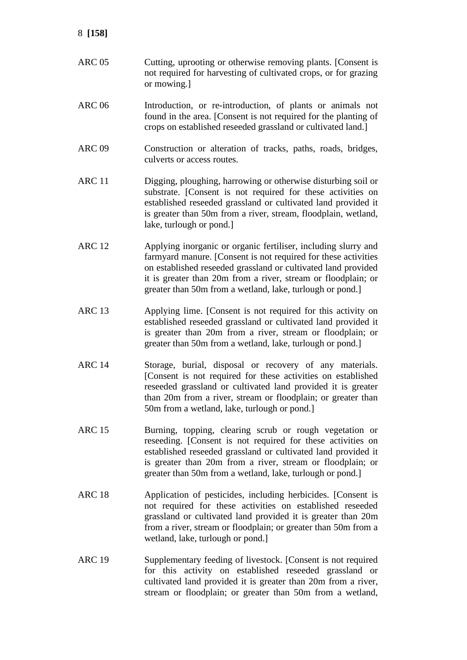- ARC 05 Cutting, uprooting or otherwise removing plants. [Consent is not required for harvesting of cultivated crops, or for grazing or mowing.]
- ARC 06 Introduction, or re-introduction, of plants or animals not found in the area. [Consent is not required for the planting of crops on established reseeded grassland or cultivated land.]
- ARC 09 Construction or alteration of tracks, paths, roads, bridges, culverts or access routes.
- ARC 11 Digging, ploughing, harrowing or otherwise disturbing soil or substrate. [Consent is not required for these activities on established reseeded grassland or cultivated land provided it is greater than 50m from a river, stream, floodplain, wetland, lake, turlough or pond.]
- ARC 12 Applying inorganic or organic fertiliser, including slurry and farmyard manure. [Consent is not required for these activities on established reseeded grassland or cultivated land provided it is greater than 20m from a river, stream or floodplain; or greater than 50m from a wetland, lake, turlough or pond.]
- ARC 13 Applying lime. [Consent is not required for this activity on established reseeded grassland or cultivated land provided it is greater than 20m from a river, stream or floodplain; or greater than 50m from a wetland, lake, turlough or pond.]
- ARC 14 Storage, burial, disposal or recovery of any materials. [Consent is not required for these activities on established reseeded grassland or cultivated land provided it is greater than 20m from a river, stream or floodplain; or greater than 50m from a wetland, lake, turlough or pond.]
- ARC 15 Burning, topping, clearing scrub or rough vegetation or reseeding. [Consent is not required for these activities on established reseeded grassland or cultivated land provided it is greater than 20m from a river, stream or floodplain; or greater than 50m from a wetland, lake, turlough or pond.]
- ARC 18 Application of pesticides, including herbicides. [Consent is not required for these activities on established reseeded grassland or cultivated land provided it is greater than 20m from a river, stream or floodplain; or greater than 50m from a wetland, lake, turlough or pond.]
- ARC 19 Supplementary feeding of livestock. [Consent is not required for this activity on established reseeded grassland or cultivated land provided it is greater than 20m from a river, stream or floodplain; or greater than 50m from a wetland,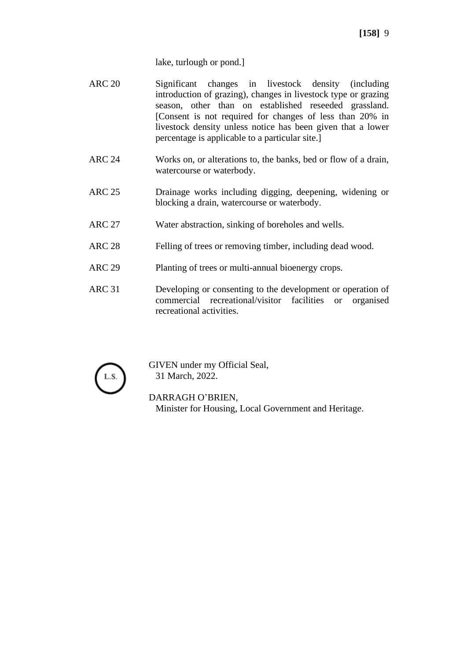lake, turlough or pond.]

- ARC 20 Significant changes in livestock density (including introduction of grazing), changes in livestock type or grazing season, other than on established reseeded grassland. [Consent is not required for changes of less than 20% in livestock density unless notice has been given that a lower percentage is applicable to a particular site.]
- ARC 24 Works on, or alterations to, the banks, bed or flow of a drain, watercourse or waterbody.
- ARC 25 Drainage works including digging, deepening, widening or blocking a drain, watercourse or waterbody.
- ARC 27 Water abstraction, sinking of boreholes and wells.
- ARC 28 Felling of trees or removing timber, including dead wood.
- ARC 29 Planting of trees or multi-annual bioenergy crops.
- ARC 31 Developing or consenting to the development or operation of commercial recreational/visitor facilities or organised recreational activities.



GIVEN under my Official Seal, 31 March, 2022.

DARRAGH O'BRIEN, Minister for Housing, Local Government and Heritage.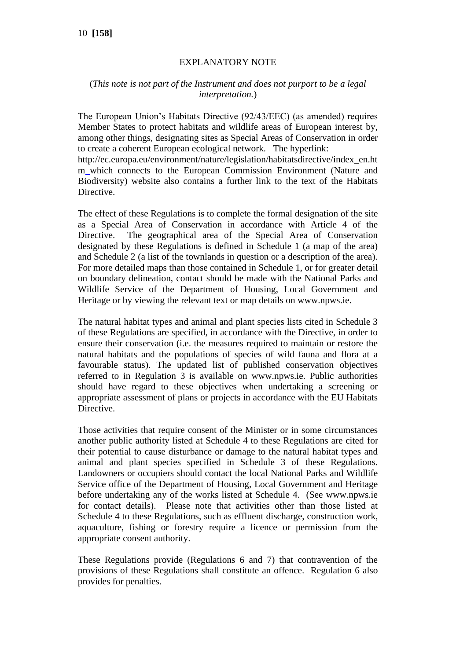# EXPLANATORY NOTE

# (*This note is not part of the Instrument and does not purport to be a legal interpretation.*)

The European Union's Habitats Directive (92/43/EEC) (as amended) requires Member States to protect habitats and wildlife areas of European interest by, among other things, designating sites as Special Areas of Conservation in order to create a coherent European ecological network. The hyperlink:

http://ec.europa.eu/environment/nature/legislation/habitatsdirective/index\_en.ht m which connects to the European Commission Environment (Nature and Biodiversity) website also contains a further link to the text of the Habitats Directive.

The effect of these Regulations is to complete the formal designation of the site as a Special Area of Conservation in accordance with Article 4 of the Directive. The geographical area of the Special Area of Conservation designated by these Regulations is defined in Schedule 1 (a map of the area) and Schedule 2 (a list of the townlands in question or a description of the area). For more detailed maps than those contained in Schedule 1, or for greater detail on boundary delineation, contact should be made with the National Parks and Wildlife Service of the Department of Housing, Local Government and Heritage or by viewing the relevant text or map details on www.npws.ie.

The natural habitat types and animal and plant species lists cited in Schedule 3 of these Regulations are specified, in accordance with the Directive, in order to ensure their conservation (i.e. the measures required to maintain or restore the natural habitats and the populations of species of wild fauna and flora at a favourable status). The updated list of published conservation objectives referred to in Regulation 3 is available on www.npws.ie. Public authorities should have regard to these objectives when undertaking a screening or appropriate assessment of plans or projects in accordance with the EU Habitats Directive.

Those activities that require consent of the Minister or in some circumstances another public authority listed at Schedule 4 to these Regulations are cited for their potential to cause disturbance or damage to the natural habitat types and animal and plant species specified in Schedule 3 of these Regulations. Landowners or occupiers should contact the local National Parks and Wildlife Service office of the Department of Housing, Local Government and Heritage before undertaking any of the works listed at Schedule 4. (See www.npws.ie for contact details). Please note that activities other than those listed at Schedule 4 to these Regulations, such as effluent discharge, construction work, aquaculture, fishing or forestry require a licence or permission from the appropriate consent authority.

These Regulations provide (Regulations 6 and 7) that contravention of the provisions of these Regulations shall constitute an offence. Regulation 6 also provides for penalties.